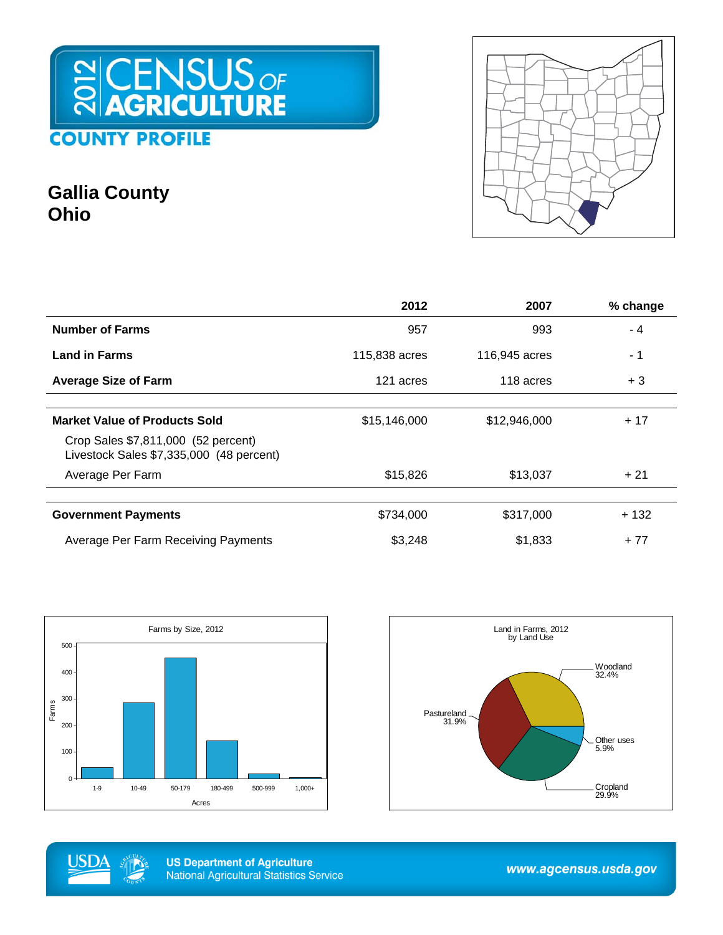## CENSUS OF **OUNTY PROFILE** C

### **Gallia County Ohio**



|                                                                                 | 2012          | 2007          | % change |
|---------------------------------------------------------------------------------|---------------|---------------|----------|
| <b>Number of Farms</b>                                                          | 957           | 993           | $-4$     |
| <b>Land in Farms</b>                                                            | 115,838 acres | 116,945 acres | - 1      |
| <b>Average Size of Farm</b>                                                     | 121 acres     | 118 acres     | $+3$     |
|                                                                                 |               |               |          |
| <b>Market Value of Products Sold</b>                                            | \$15,146,000  | \$12,946,000  | $+17$    |
| Crop Sales \$7,811,000 (52 percent)<br>Livestock Sales \$7,335,000 (48 percent) |               |               |          |
| Average Per Farm                                                                | \$15,826      | \$13,037      | $+21$    |
|                                                                                 |               |               |          |
| <b>Government Payments</b>                                                      | \$734,000     | \$317,000     | + 132    |
| <b>Average Per Farm Receiving Payments</b>                                      | \$3,248       | \$1,833       | $+77$    |







**US Department of Agriculture National Agricultural Statistics Service** 

www.agcensus.usda.gov